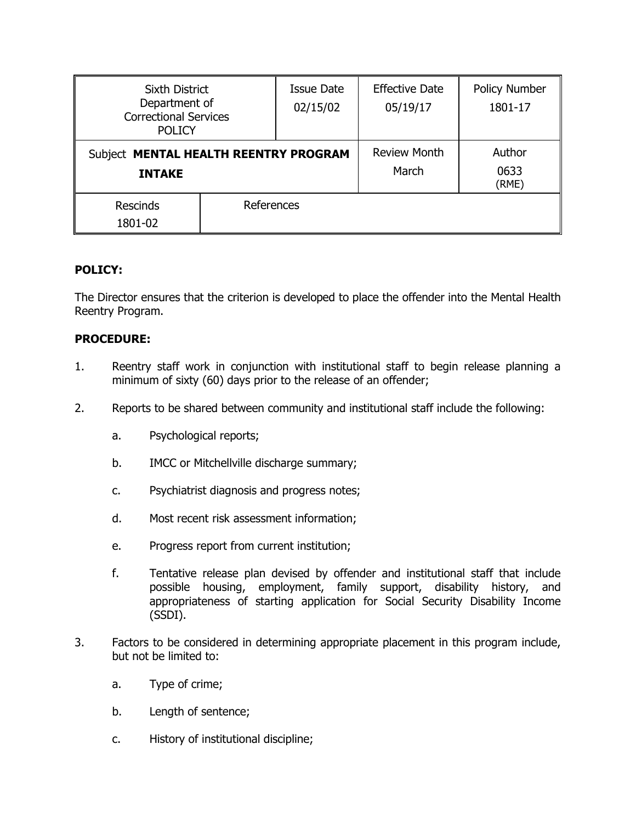| <b>Sixth District</b><br>Department of<br><b>Correctional Services</b><br><b>POLICY</b> |            | <b>Issue Date</b><br>02/15/02 | <b>Effective Date</b><br>05/19/17 | <b>Policy Number</b><br>1801-17 |
|-----------------------------------------------------------------------------------------|------------|-------------------------------|-----------------------------------|---------------------------------|
| Subject MENTAL HEALTH REENTRY PROGRAM<br><b>INTAKE</b>                                  |            |                               | <b>Review Month</b><br>March      | Author<br>0633<br>(RME)         |
| <b>Rescinds</b><br>1801-02                                                              | References |                               |                                   |                                 |

## **POLICY:**

The Director ensures that the criterion is developed to place the offender into the Mental Health Reentry Program.

## **PROCEDURE:**

- 1. Reentry staff work in conjunction with institutional staff to begin release planning a minimum of sixty (60) days prior to the release of an offender;
- 2. Reports to be shared between community and institutional staff include the following:
	- a. Psychological reports;
	- b. IMCC or Mitchellville discharge summary;
	- c. Psychiatrist diagnosis and progress notes;
	- d. Most recent risk assessment information;
	- e. Progress report from current institution;
	- f. Tentative release plan devised by offender and institutional staff that include possible housing, employment, family support, disability history, and appropriateness of starting application for Social Security Disability Income (SSDI).
- 3. Factors to be considered in determining appropriate placement in this program include, but not be limited to:
	- a. Type of crime;
	- b. Length of sentence;
	- c. History of institutional discipline;